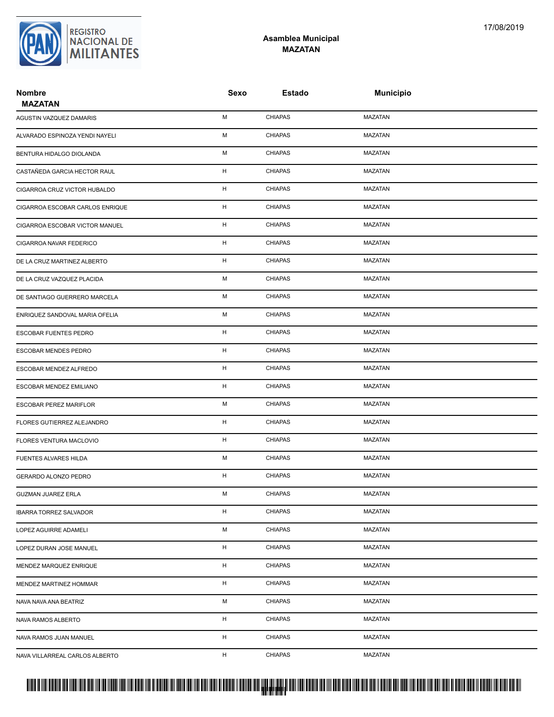

## **Asamblea Municipal MAZATAN**

| <b>Nombre</b><br><b>MAZATAN</b> | Sexo        | <b>Estado</b>  | <b>Municipio</b> |  |
|---------------------------------|-------------|----------------|------------------|--|
| AGUSTIN VAZQUEZ DAMARIS         | М           | <b>CHIAPAS</b> | <b>MAZATAN</b>   |  |
| ALVARADO ESPINOZA YENDI NAYELI  | М           | <b>CHIAPAS</b> | <b>MAZATAN</b>   |  |
| BENTURA HIDALGO DIOLANDA        | М           | <b>CHIAPAS</b> | <b>MAZATAN</b>   |  |
| CASTAÑEDA GARCIA HECTOR RAUL    | н           | <b>CHIAPAS</b> | <b>MAZATAN</b>   |  |
| CIGARROA CRUZ VICTOR HUBALDO    | н           | <b>CHIAPAS</b> | MAZATAN          |  |
| CIGARROA ESCOBAR CARLOS ENRIQUE | н           | <b>CHIAPAS</b> | <b>MAZATAN</b>   |  |
| CIGARROA ESCOBAR VICTOR MANUEL  | н           | <b>CHIAPAS</b> | <b>MAZATAN</b>   |  |
| CIGARROA NAVAR FEDERICO         | $\mathsf H$ | <b>CHIAPAS</b> | <b>MAZATAN</b>   |  |
| DE LA CRUZ MARTINEZ ALBERTO     | н           | <b>CHIAPAS</b> | <b>MAZATAN</b>   |  |
| DE LA CRUZ VAZQUEZ PLACIDA      | М           | <b>CHIAPAS</b> | MAZATAN          |  |
| DE SANTIAGO GUERRERO MARCELA    | M           | <b>CHIAPAS</b> | <b>MAZATAN</b>   |  |
| ENRIQUEZ SANDOVAL MARIA OFELIA  | М           | <b>CHIAPAS</b> | <b>MAZATAN</b>   |  |
| ESCOBAR FUENTES PEDRO           | H           | <b>CHIAPAS</b> | <b>MAZATAN</b>   |  |
| ESCOBAR MENDES PEDRO            | H           | <b>CHIAPAS</b> | <b>MAZATAN</b>   |  |
| ESCOBAR MENDEZ ALFREDO          | н           | <b>CHIAPAS</b> | MAZATAN          |  |
| ESCOBAR MENDEZ EMILIANO         | н           | <b>CHIAPAS</b> | <b>MAZATAN</b>   |  |
| ESCOBAR PEREZ MARIFLOR          | М           | <b>CHIAPAS</b> | <b>MAZATAN</b>   |  |
| FLORES GUTIERREZ ALEJANDRO      | н           | <b>CHIAPAS</b> | <b>MAZATAN</b>   |  |
| FLORES VENTURA MACLOVIO         | н           | <b>CHIAPAS</b> | <b>MAZATAN</b>   |  |
| FUENTES ALVARES HILDA           | М           | <b>CHIAPAS</b> | MAZATAN          |  |
| GERARDO ALONZO PEDRO            | н           | <b>CHIAPAS</b> | <b>MAZATAN</b>   |  |
| <b>GUZMAN JUAREZ ERLA</b>       | М           | <b>CHIAPAS</b> | MAZATAN          |  |
| <b>IBARRA TORREZ SALVADOR</b>   | $\mathsf H$ | <b>CHIAPAS</b> | <b>MAZATAN</b>   |  |
| LOPEZ AGUIRRE ADAMELI           | М           | <b>CHIAPAS</b> | MAZATAN          |  |
| LOPEZ DURAN JOSE MANUEL         | н           | <b>CHIAPAS</b> | MAZATAN          |  |
| MENDEZ MARQUEZ ENRIQUE          | H           | <b>CHIAPAS</b> | MAZATAN          |  |
| MENDEZ MARTINEZ HOMMAR          | н           | <b>CHIAPAS</b> | MAZATAN          |  |
| NAVA NAVA ANA BEATRIZ           | М           | <b>CHIAPAS</b> | MAZATAN          |  |
| NAVA RAMOS ALBERTO              | н           | <b>CHIAPAS</b> | MAZATAN          |  |
| NAVA RAMOS JUAN MANUEL          | H           | <b>CHIAPAS</b> | MAZATAN          |  |
| NAVA VILLARREAL CARLOS ALBERTO  | Н.          | <b>CHIAPAS</b> | <b>MAZATAN</b>   |  |

## PROTUCCION SU REGION DA SU REGIONAL DE LA SULTA SU REGIONAL DE MILITANTES CONTRADO NACIONAL DE MILITANTES CONTRADO N <mark>. Pangyakan k</mark>